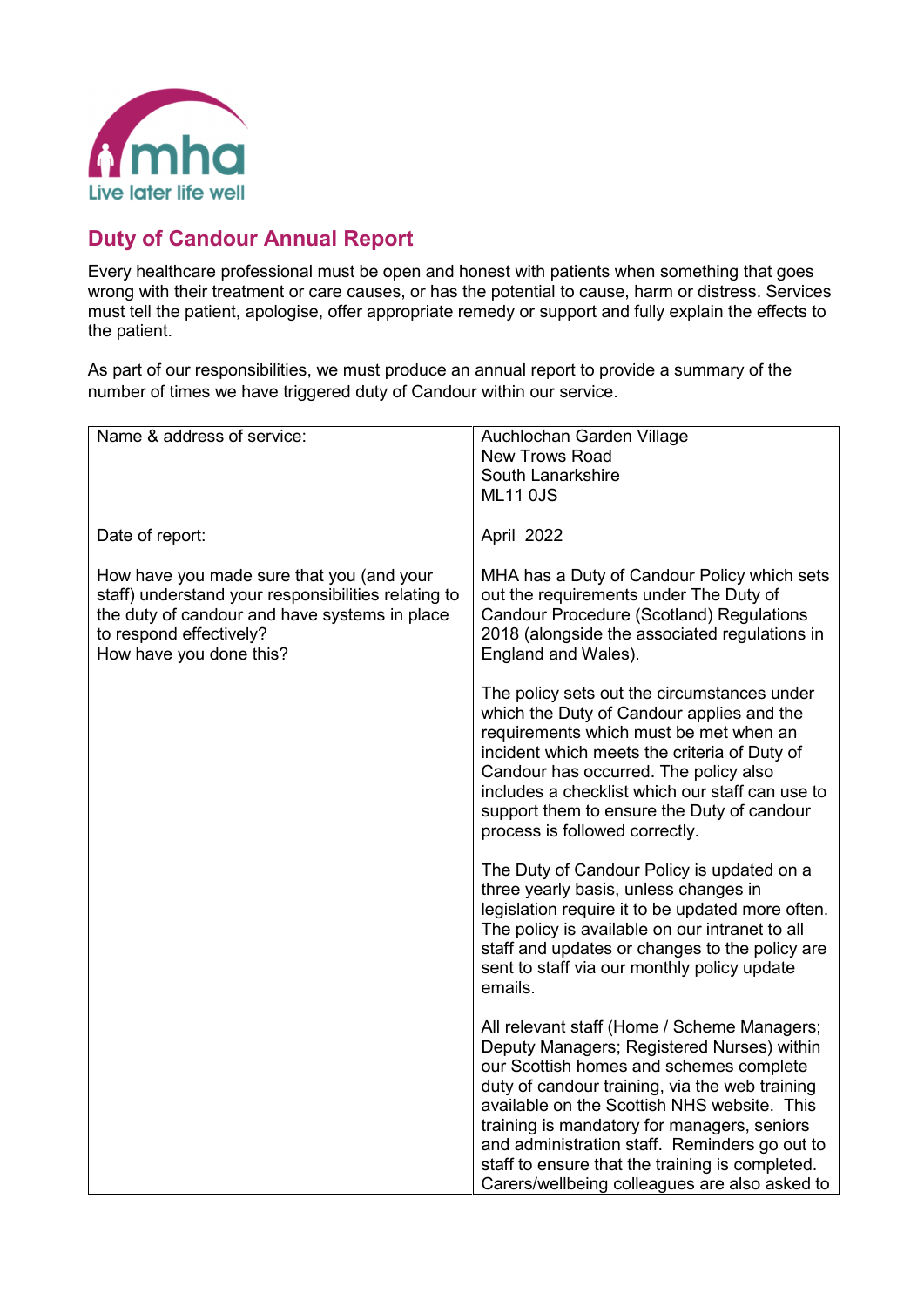

## **Duty of Candour Annual Report**

Every healthcare professional must be open and honest with patients when something that goes wrong with their treatment or care causes, or has the potential to cause, harm or distress. Services must tell the patient, apologise, offer appropriate remedy or support and fully explain the effects to the patient.

As part of our responsibilities, we must produce an annual report to provide a summary of the number of times we have triggered duty of Candour within our service.

| Name & address of service:                                                                                                                                                                              | Auchlochan Garden Village<br><b>New Trows Road</b><br>South Lanarkshire                                                                                                                                                                                                                                                                                                                                                                   |
|---------------------------------------------------------------------------------------------------------------------------------------------------------------------------------------------------------|-------------------------------------------------------------------------------------------------------------------------------------------------------------------------------------------------------------------------------------------------------------------------------------------------------------------------------------------------------------------------------------------------------------------------------------------|
|                                                                                                                                                                                                         | <b>ML11 0JS</b>                                                                                                                                                                                                                                                                                                                                                                                                                           |
| Date of report:                                                                                                                                                                                         | April 2022                                                                                                                                                                                                                                                                                                                                                                                                                                |
| How have you made sure that you (and your<br>staff) understand your responsibilities relating to<br>the duty of candour and have systems in place<br>to respond effectively?<br>How have you done this? | MHA has a Duty of Candour Policy which sets<br>out the requirements under The Duty of<br><b>Candour Procedure (Scotland) Regulations</b><br>2018 (alongside the associated regulations in<br>England and Wales).                                                                                                                                                                                                                          |
|                                                                                                                                                                                                         | The policy sets out the circumstances under<br>which the Duty of Candour applies and the<br>requirements which must be met when an<br>incident which meets the criteria of Duty of<br>Candour has occurred. The policy also<br>includes a checklist which our staff can use to<br>support them to ensure the Duty of candour<br>process is followed correctly.                                                                            |
|                                                                                                                                                                                                         | The Duty of Candour Policy is updated on a<br>three yearly basis, unless changes in<br>legislation require it to be updated more often.<br>The policy is available on our intranet to all<br>staff and updates or changes to the policy are<br>sent to staff via our monthly policy update<br>emails.                                                                                                                                     |
|                                                                                                                                                                                                         | All relevant staff (Home / Scheme Managers;<br>Deputy Managers; Registered Nurses) within<br>our Scottish homes and schemes complete<br>duty of candour training, via the web training<br>available on the Scottish NHS website. This<br>training is mandatory for managers, seniors<br>and administration staff. Reminders go out to<br>staff to ensure that the training is completed.<br>Carers/wellbeing colleagues are also asked to |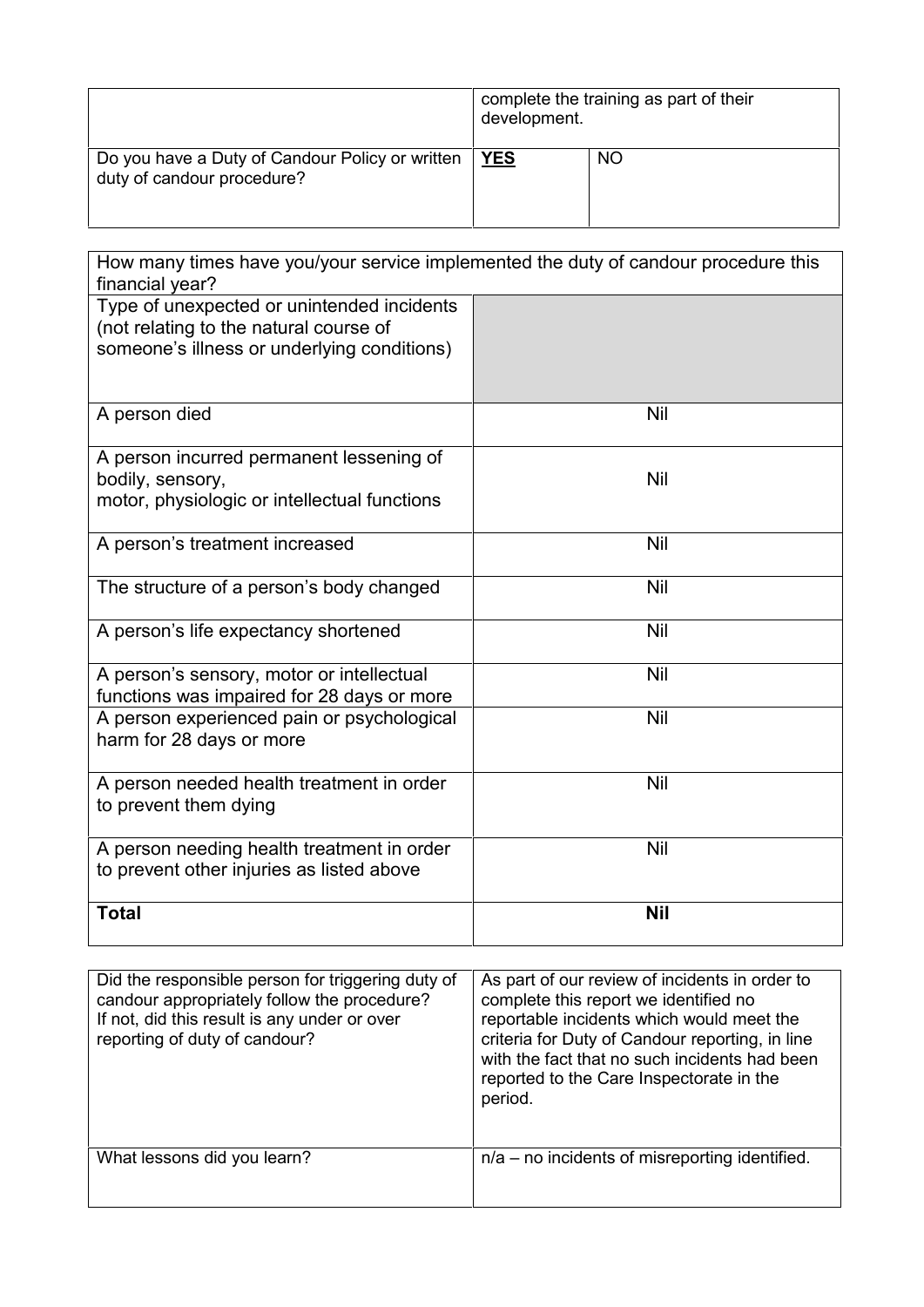|                                                                               | complete the training as part of their<br>development. |           |
|-------------------------------------------------------------------------------|--------------------------------------------------------|-----------|
| Do you have a Duty of Candour Policy or written<br>duty of candour procedure? | <b>YES</b>                                             | <b>NO</b> |

| How many times have you/your service implemented the duty of candour procedure this<br>financial year?                              |            |
|-------------------------------------------------------------------------------------------------------------------------------------|------------|
| Type of unexpected or unintended incidents<br>(not relating to the natural course of<br>someone's illness or underlying conditions) |            |
| A person died                                                                                                                       | <b>Nil</b> |
| A person incurred permanent lessening of<br>bodily, sensory,<br>motor, physiologic or intellectual functions                        | <b>Nil</b> |
| A person's treatment increased                                                                                                      | <b>Nil</b> |
| The structure of a person's body changed                                                                                            | <b>Nil</b> |
| A person's life expectancy shortened                                                                                                | <b>Nil</b> |
| A person's sensory, motor or intellectual<br>functions was impaired for 28 days or more                                             | <b>Nil</b> |
| A person experienced pain or psychological<br>harm for 28 days or more                                                              | <b>Nil</b> |
| A person needed health treatment in order<br>to prevent them dying                                                                  | <b>Nil</b> |
| A person needing health treatment in order<br>to prevent other injuries as listed above                                             | <b>Nil</b> |
| <b>Total</b>                                                                                                                        | <b>Nil</b> |

| Did the responsible person for triggering duty of<br>candour appropriately follow the procedure?<br>If not, did this result is any under or over<br>reporting of duty of candour? | As part of our review of incidents in order to<br>complete this report we identified no<br>reportable incidents which would meet the<br>criteria for Duty of Candour reporting, in line<br>with the fact that no such incidents had been<br>reported to the Care Inspectorate in the<br>period. |
|-----------------------------------------------------------------------------------------------------------------------------------------------------------------------------------|-------------------------------------------------------------------------------------------------------------------------------------------------------------------------------------------------------------------------------------------------------------------------------------------------|
| What lessons did you learn?                                                                                                                                                       | $n/a$ – no incidents of misreporting identified.                                                                                                                                                                                                                                                |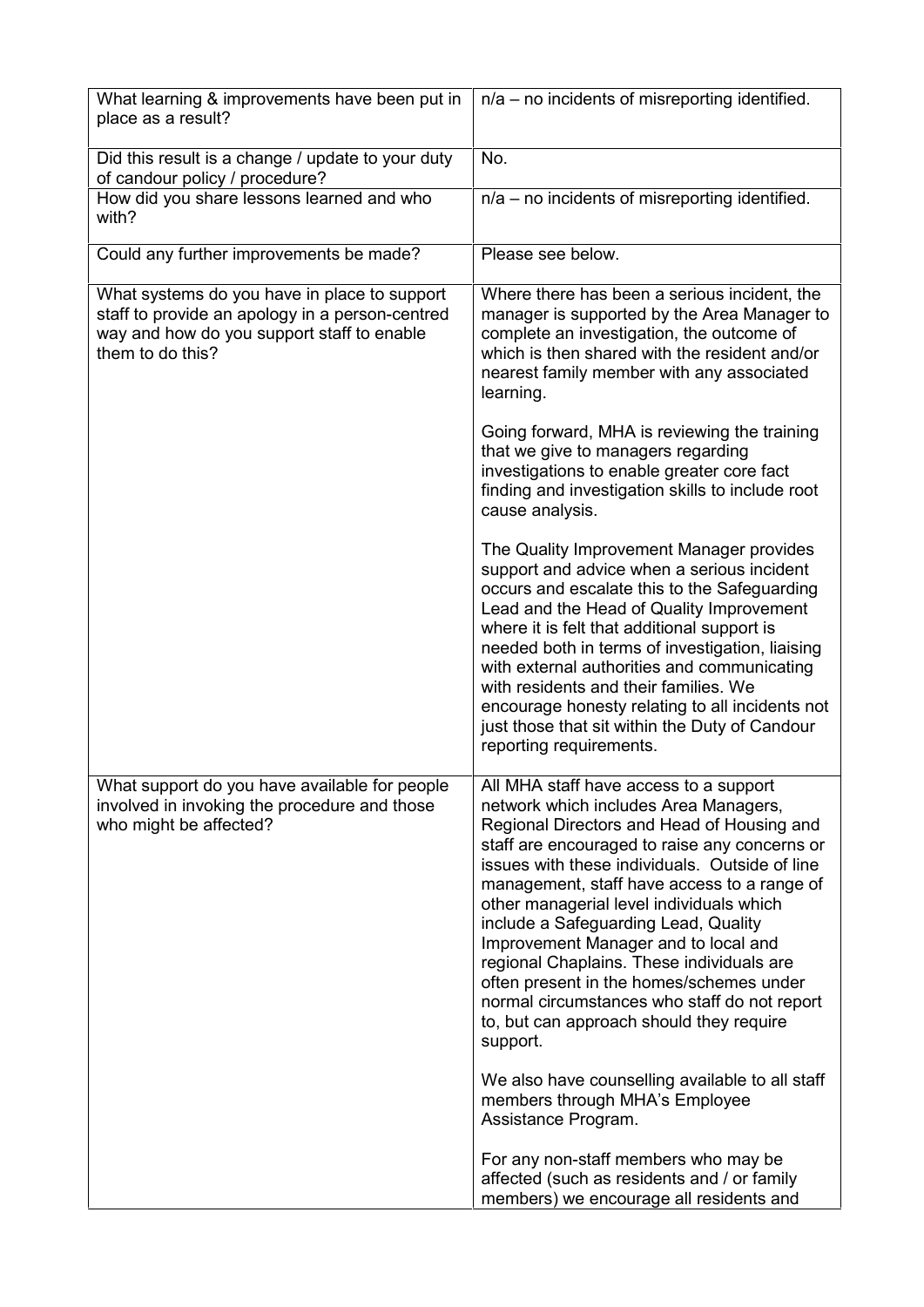| What learning & improvements have been put in<br>place as a result?                                                                                               | $n/a$ – no incidents of misreporting identified.                                                                                                                                                                                                                                                                                                                                                                                                                                                                                                                                                                                                                                                                         |
|-------------------------------------------------------------------------------------------------------------------------------------------------------------------|--------------------------------------------------------------------------------------------------------------------------------------------------------------------------------------------------------------------------------------------------------------------------------------------------------------------------------------------------------------------------------------------------------------------------------------------------------------------------------------------------------------------------------------------------------------------------------------------------------------------------------------------------------------------------------------------------------------------------|
| Did this result is a change / update to your duty<br>of candour policy / procedure?                                                                               | No.                                                                                                                                                                                                                                                                                                                                                                                                                                                                                                                                                                                                                                                                                                                      |
| How did you share lessons learned and who<br>with?                                                                                                                | $n/a$ – no incidents of misreporting identified.                                                                                                                                                                                                                                                                                                                                                                                                                                                                                                                                                                                                                                                                         |
| Could any further improvements be made?                                                                                                                           | Please see below.                                                                                                                                                                                                                                                                                                                                                                                                                                                                                                                                                                                                                                                                                                        |
| What systems do you have in place to support<br>staff to provide an apology in a person-centred<br>way and how do you support staff to enable<br>them to do this? | Where there has been a serious incident, the<br>manager is supported by the Area Manager to<br>complete an investigation, the outcome of<br>which is then shared with the resident and/or<br>nearest family member with any associated<br>learning.                                                                                                                                                                                                                                                                                                                                                                                                                                                                      |
|                                                                                                                                                                   | Going forward, MHA is reviewing the training<br>that we give to managers regarding<br>investigations to enable greater core fact<br>finding and investigation skills to include root<br>cause analysis.                                                                                                                                                                                                                                                                                                                                                                                                                                                                                                                  |
|                                                                                                                                                                   | The Quality Improvement Manager provides<br>support and advice when a serious incident<br>occurs and escalate this to the Safeguarding<br>Lead and the Head of Quality Improvement<br>where it is felt that additional support is<br>needed both in terms of investigation, liaising<br>with external authorities and communicating<br>with residents and their families. We<br>encourage honesty relating to all incidents not<br>just those that sit within the Duty of Candour<br>reporting requirements.                                                                                                                                                                                                             |
| What support do you have available for people<br>involved in invoking the procedure and those<br>who might be affected?                                           | All MHA staff have access to a support<br>network which includes Area Managers,<br>Regional Directors and Head of Housing and<br>staff are encouraged to raise any concerns or<br>issues with these individuals. Outside of line<br>management, staff have access to a range of<br>other managerial level individuals which<br>include a Safeguarding Lead, Quality<br>Improvement Manager and to local and<br>regional Chaplains. These individuals are<br>often present in the homes/schemes under<br>normal circumstances who staff do not report<br>to, but can approach should they require<br>support.<br>We also have counselling available to all staff<br>members through MHA's Employee<br>Assistance Program. |
|                                                                                                                                                                   | For any non-staff members who may be<br>affected (such as residents and / or family<br>members) we encourage all residents and                                                                                                                                                                                                                                                                                                                                                                                                                                                                                                                                                                                           |